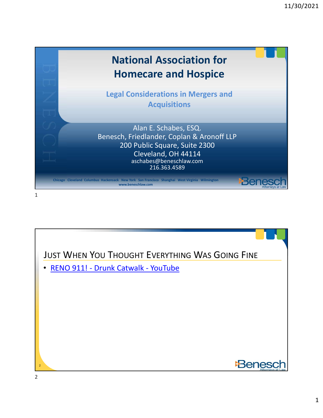

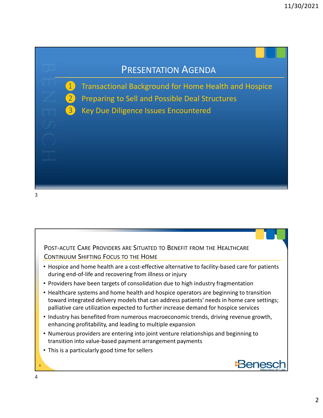#### PRESENTATION AGENDA

- 11/30/2021<br>
PRESENTATION AGENDA<br>
Transactional Background for Home Health and Hospice<br>
Peparing to Sell and Possible Deal Structures<br>
Serv Due Diligence Issues Encountered Manuscript Community of the PRESENTATION AGENDA<br>
Transactional Background for Home Health and Hospice<br>
The Preparing to Sell and Possible Deal Structures<br>
So Key Due Diligence Issues Encountered 11/3<br>
PRESENTATION AGENDA<br>
Transactional Background for Home Health and Hospice<br>
Preparing to Sell and Possible Deal Structures<br>
Sey Due Diligence Issues Encountered<br>
Contracted
	-
	-

3

- POST-ACUTE CARE PROVIDERS ARE SITUATED TO BENEFIT FROM THE HEALTHCARE<br>POST-ACUTE CARE PROVIDERS ARE SITUATED TO BENEFIT FROM THE HEALTHCARE<br>Prospice and home health are a cost-effective alternative to facility-based care f POST-ACUTE CARE PROVIDERS ARE SITUATED TO BENEFIT FROM THE HEALTHCARE<br>CONTINUUM SHIFTING FOCUS TO THE HOME<br>• Hospice and home health are a cost-effective alternative to facility-based care for patients<br>• droring end-d-file • Hospice and home health are a cost-effective alternative to facility-based care for patients during end-of-life and recovering from illness or injury
- Providers have been targets of consolidation due to high industry fragmentation
- Healthcare systems and home health and hospice operators are beginning to transition toward integrated delivery models that can address patients' needs in home care settings; palliative care utilization expected to further increase demand for hospice services
- Industry has benefited from numerous macroeconomic trends, driving revenue growth, enhancing profitability, and leading to multiple expansion
- Numerous providers are entering into joint venture relationships and beginning to transition into value-based payment arrangement payments
- This is a particularly good time for sellers

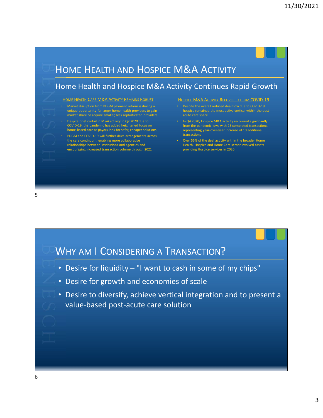### Home Health and Hospice M&A Activity Continues Rapid Growth 11/30/202<br>
HOME HEALTH AND HOSPICE M&A ACTIVITY<br>
Home Health and Hospice M&A Activity Continues Rapid Growth<br>
Hospice M&A Activity Continues Rapid Growth<br>
Hospice M&A Activity Continues Rapid Growth<br>
Hospice M&A Activity R HOME HEALTH CARE M&A ACTIVITY REMAINS ROBUST **HOSPICE M&A ACTIVITY RECOVERED FROM COVID-19** • Market disruption from PDGM payment reform is driving a unique opportunity for larger home health providers to gain market share or acquire smaller, less sophisticated providers • Despite brief curtail in M&A activity in Q2 2020 due to COVID-19, the pandemic has added heightened focus on home-based care as payors look for safer, cheaper solutions • PDGM and COVID-19 will further drive arrangements across the care continuum, enabling more collaborative relationships between institutions and agencies and encouraging increased transaction volume through 2021 11/30/2021<br>
M&A ACTIVITY<br>
ivity Continues Rapid Growth<br>
Hospice M&A Activity Recovered FROM COVID-19<br>
Despite the overall reduced deal flow due to COVID-19<br>
Despite the overall reduced deal flow due to COVID-19<br>
hospice re • Despite the overall reduced deal flow due to COVID-19, acute care space • In Q4 2020, Hospice M&A activity recovered significantly from the pandemic lows with 25 completed transactions, representing year-over-year increase of 10 additional transactions • Over 56% of the deal activity within the broader Home Health, Hospice and Home Care sector involved assets providing Hospice services in 2020 • Desire for liquidity – "I want to cash in some of my chips"<br>
• Desire for liquidity – "I want to cash in some of my chips"<br>
• Desire for liquidity – "I want to cash in some of my chips"<br>
• Desire for liquidity – "I want WHY AM I CONSIDERING A TRANSACTION?<br>
Second the consideration of the consideration of the consideration of the consideration of the consideration of the consideration of the consideration of the consideration of the consid  $5<sub>2</sub>$

- 
- Desire for growth and economies of scale
- Desire to diversify, achieve vertical integration and to present a value-based post-acute care solution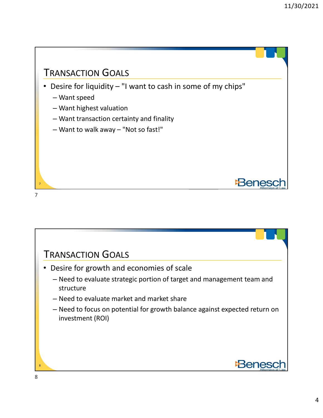

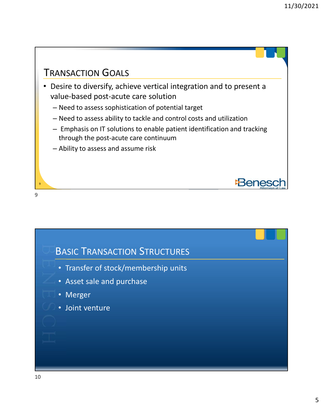**Beneso** 

#### TRANSACTION GOALS

9

• Desire to diversify, achieve vertical integration and to present a value-based post-acute care solution

- Need to assess sophistication of potential target
- Need to assess ability to tackle and control costs and utilization
- Emphasis on IT solutions to enable patient identification and tracking through the post-acute care continuum
- Ability to assess and assume risk



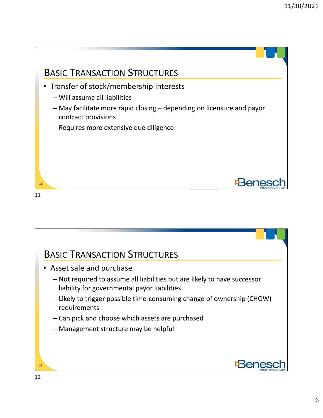

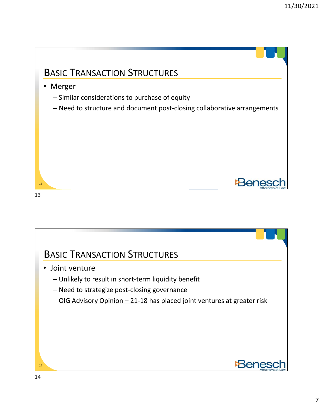

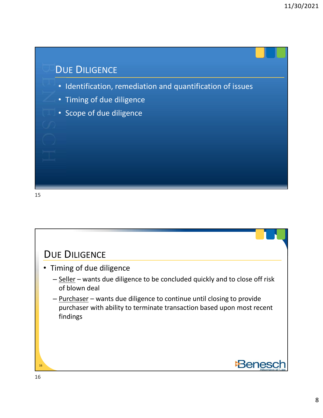# • Identification, remediation and quantification of issues • Timing of due diligence • Scope of due diligence DUE DILIGENCE

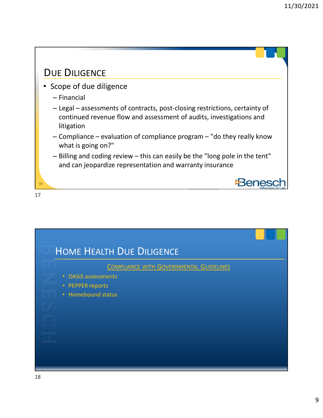#### DUE DILIGENCE

• Scope of due diligence

17

- Financial
- 11/30/2<br>
JE DILIGENCE<br>
Scope of due diligence<br>
 Financial<br>
 Legal assessments of contracts, post-closing restrictions, certainty of<br>
continued revenue flow and assessment of audits, investigations and<br>
litigation<br>
 Co continued revenue flow and assessment of audits, investigations and litigation 11/30/2021<br>
JE DILIGENCE<br>
Cope of due diligence<br>
- Financial<br>
- Legal – assessments of contracts, post-closing restrictions, certainty of<br>
continued revenue flow and assessment of audits, investigations and<br>
litigation<br>
- (Figure – the difference – this can easily be the "long pole in the tent"<br>
- Legal – assessments of contracts, post-closing restrictions, certainty of<br>
continued revenue flow and assessment of audits, investigations and<br>
l
- what is going on?"
- and can jeopardize representation and warranty insurance

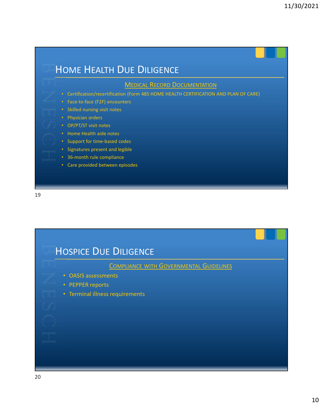

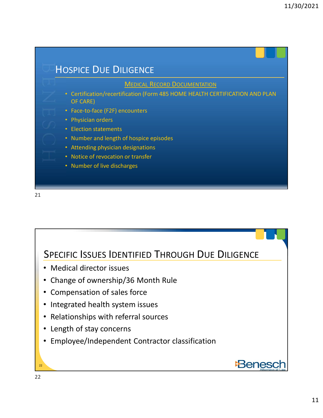